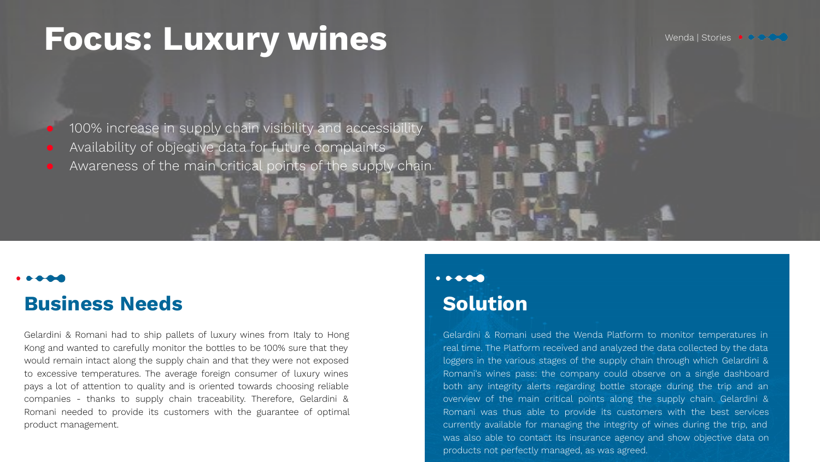# Focus: Luxury wines Wendal Stories . **Procuse**

100% increase in supply chain visibility and accessibility

- Availability of objective data for future complaints
- Awareness of the main critical points of the supply chain

### **Business Needs**

Gelardini & Romani had to ship pallets of luxury wines from Italy to Hong Kong and wanted to carefully monitor the bottles to be 100% sure that they would remain intact along the supply chain and that they were not exposed to excessive temperatures. The average foreign consumer of luxury wines pays a lot of attention to quality and is oriented towards choosing reliable companies - thanks to supply chain traceability. Therefore, Gelardini & Romani needed to provide its customers with the guarantee of optimal product management.

#### $\bullet$   $\bullet$   $\bullet$   $\bullet$ **Solution**

Gelardini & Romani used the Wenda Platform to monitor temperatures in real time. The Platform received and analyzed the data collected by the data loggers in the various stages of the supply chain through which Gelardini & Romani's wines pass: the company could observe on a single dashboard both any integrity alerts regarding bottle storage during the trip and an overview of the main critical points along the supply chain. Gelardini & Romani was thus able to provide its customers with the best services currently available for managing the integrity of wines during the trip, and was also able to contact its insurance agency and show objective data on products not perfectly managed, as was agreed.